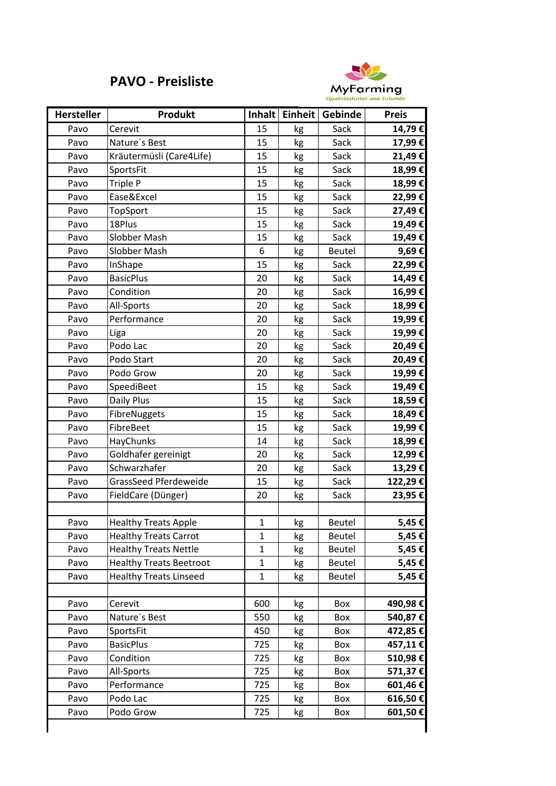## **PAVO - Preisliste**



| <b>Hersteller</b> | <b>Produkt</b>                 |              | Inhalt   Einheit | Gebinde       | <b>Preis</b> |
|-------------------|--------------------------------|--------------|------------------|---------------|--------------|
| Pavo              | Cerevit                        | 15           | kg               | Sack          | 14,79€       |
| Pavo              | Nature's Best                  | 15           | kg               | Sack          | 17,99€       |
| Pavo              | Kräutermüsli (Care4Life)       | 15           | kg               | Sack          | 21,49€       |
| Pavo              | SportsFit                      | 15           | kg               | Sack          | 18,99€       |
| Pavo              | Triple P                       | 15           | kg               | Sack          | 18,99€       |
| Pavo              | Ease&Excel                     | 15           | kg               | Sack          | 22,99€       |
| Pavo              | TopSport                       | 15           | kg               | Sack          | 27,49€       |
| Pavo              | 18Plus                         | 15           | kg               | Sack          | 19,49€       |
| Pavo              | Slobber Mash                   | 15           | kg               | Sack          | 19,49€       |
| Pavo              | Slobber Mash                   | 6            | kg               | Beutel        | 9,69€        |
| Pavo              | InShape                        | 15           | kg               | Sack          | 22,99€       |
| Pavo              | <b>BasicPlus</b>               | 20           | kg               | Sack          | 14,49€       |
| Pavo              | Condition                      | 20           | kg               | Sack          | 16,99€       |
| Pavo              | All-Sports                     | 20           | kg               | Sack          | 18,99€       |
| Pavo              | Performance                    | 20           | kg               | Sack          | 19,99€       |
| Pavo              | Liga                           | 20           | kg               | Sack          | 19,99€       |
| Pavo              | Podo Lac                       | 20           | kg               | Sack          | 20,49€       |
| Pavo              | Podo Start                     | 20           | kg               | Sack          | 20,49€       |
| Pavo              | Podo Grow                      | 20           | kg               | Sack          | 19,99€       |
| Pavo              | SpeediBeet                     | 15           | kg               | Sack          | 19,49€       |
| Pavo              | Daily Plus                     | 15           | kg               | Sack          | 18,59€       |
| Pavo              | FibreNuggets                   | 15           | kg               | Sack          | 18,49€       |
| Pavo              | FibreBeet                      | 15           | kg               | Sack          | 19,99€       |
| Pavo              | HayChunks                      | 14           | kg               | Sack          | 18,99€       |
| Pavo              | Goldhafer gereinigt            | 20           | kg               | Sack          | 12,99€       |
| Pavo              | Schwarzhafer                   | 20           | kg               | Sack          | 13,29€       |
| Pavo              | <b>GrassSeed Pferdeweide</b>   | 15           | kg               | Sack          | 122,29€      |
| Pavo              | FieldCare (Dünger)             | 20           | kg               | Sack          | 23,95€       |
|                   |                                |              |                  |               |              |
| Pavo              | <b>Healthy Treats Apple</b>    | 1            | kg               | Beutel        | 5,45€        |
| Pavo              | <b>Healthy Treats Carrot</b>   | $\mathbf{1}$ | kg               | Beutel        | 5,45 €       |
| Pavo              | <b>Healthy Treats Nettle</b>   | $\mathbf 1$  | kg               | Beutel        | 5,45€        |
| Pavo              | <b>Healthy Treats Beetroot</b> | $\mathbf{1}$ | kg               | Beutel        | 5,45€        |
| Pavo              | <b>Healthy Treats Linseed</b>  | 1            | kg               | <b>Beutel</b> | 5,45€        |
|                   |                                |              |                  |               |              |
| Pavo              | Cerevit                        | 600          | kg               | Box           | 490,98€      |
| Pavo              | Nature's Best                  | 550          | kg               | Box           | 540,87€      |
| Pavo              | SportsFit                      | 450          | kg               | Box           | 472,85€      |
| Pavo              | <b>BasicPlus</b>               | 725          | kg               | Box           | 457,11€      |
| Pavo              | Condition                      | 725          | kg               | Box           | 510,98€      |
| Pavo              | All-Sports                     | 725          | kg               | Box           | 571,37€      |
| Pavo              | Performance                    | 725          | kg               | Box           | 601,46€      |
| Pavo              | Podo Lac                       | 725          | kg               | Box           | 616,50€      |
| Pavo              | Podo Grow                      | 725          | kg               | Box           | 601,50€      |